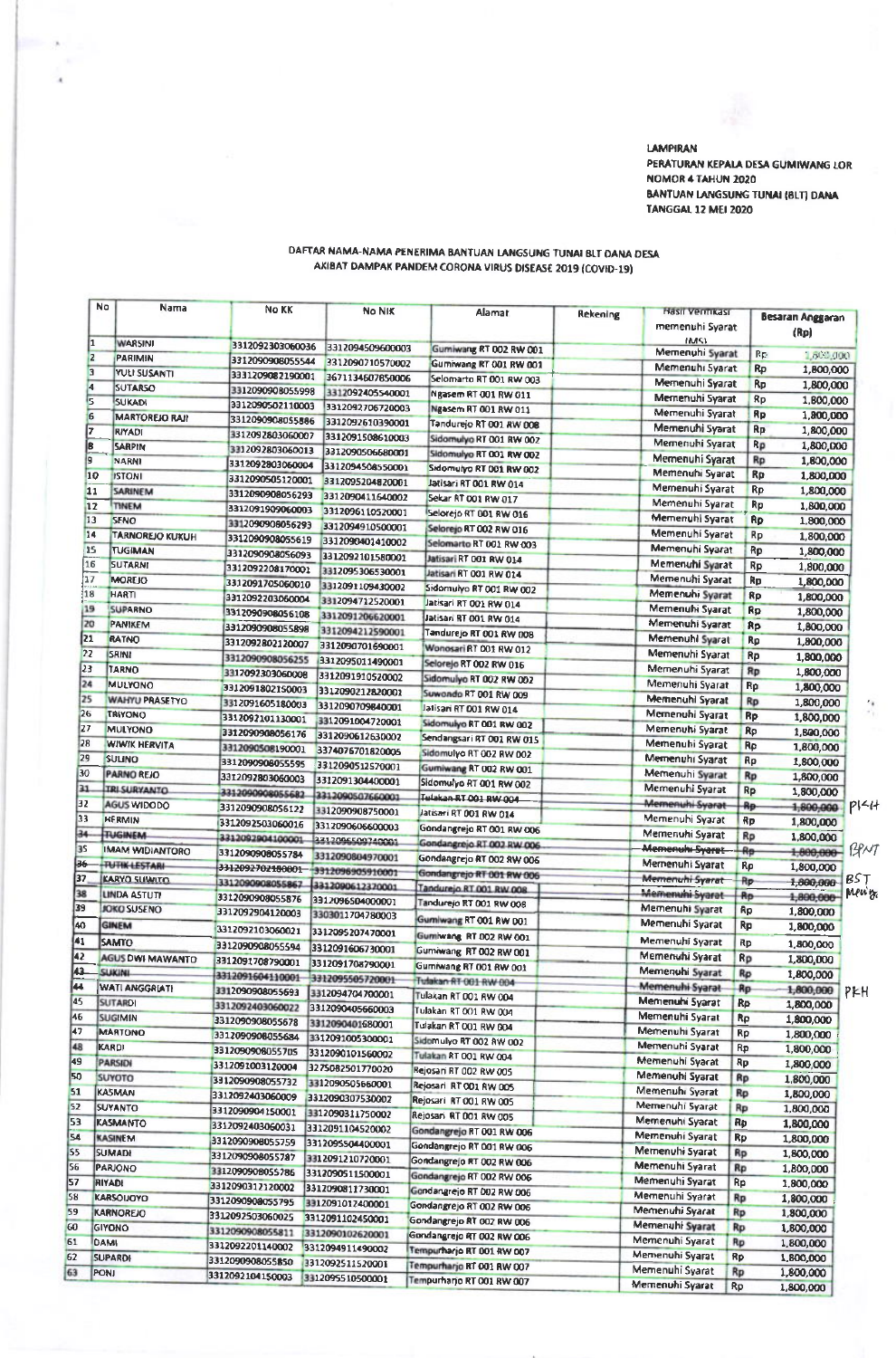## **LAMPIRAN** PERATURAN KEPALA DESA GUMIWANG LOR NOMOR 4 TAHUN 2020 **BANTUAN LANGSUNG TUNAI (BLT) DANA TANGGAL 12 MEI 2020**

## DAFTAR NAMA-NAMA PENERIMA BANTUAN LANGSUNG TUNAI BLT DANA DESA AKIBAT DAMPAK PANDEM CORONA VIRUS DISEASE 2019 (COVID-19)

| No             | Nama                   | No KK                                | <b>No NIK</b>    | Alamat                    | Rekening | Hasil Vermicasi<br>memenuhi Syarat |           | <b>Besaran Anggaran</b><br>(Rp) |         |
|----------------|------------------------|--------------------------------------|------------------|---------------------------|----------|------------------------------------|-----------|---------------------------------|---------|
| 11.            | <b>WARSINI</b>         | 3312092303060036                     | 3312094509600003 | Gumiwang RT 002 RW 001    |          | <b>IMSI</b><br>Memenuhi Syarat     | Rр        | 1,800,990                       |         |
| $\overline{2}$ | <b>PARIMIN</b>         | 3312090908055544                     | 3312090710570002 | Gumiwang RT 001 RW 001    |          | Memenuhi Syarat                    | Rp        |                                 |         |
| B.             | YULI SUSANTI           | 3331209082190001                     | 3671134607850006 | Selomarto RT 001 RW 003   |          | Memenuhi Syarat                    |           | 1,800,000                       |         |
|                | <b>SUTARSO</b>         | 3312090908055998                     | 3312092405540001 | Ngasem RT 001 RW 011      |          |                                    | <b>Rp</b> | 1,800,000                       |         |
| ls.            | <b>SUKADI</b>          | 3312090502110003                     | 3312092706720003 | Ngasem RT 001 RW 011      |          | Memenuhi Syarat                    | <b>Rp</b> | 1,800,000                       |         |
| 6              | <b>MARTOREJO RAJI</b>  | 3312090908055886                     | 3312092610390001 | Tandurejo RT 001 RW 008   |          | Memenuhi Syarat                    | <b>Rp</b> | 1,800,000                       |         |
|                | <b>RIYADI</b>          | 3312092803060007                     | 3312091508610003 | Sidomulyo RT 001 RW 002   |          | Memenuhi Syarat                    | <b>Rp</b> | 1,800,000                       |         |
|                | <b>SARPIN</b>          | 3312092803060013                     | 3312090506680001 | Sidomulyo RT 001 RW 002   |          | Memenuhi Syarat                    | Rp        | 1,800,000                       |         |
| I9             | <b>NARNI</b>           | 3312092803060004                     | 3312094508550001 |                           |          | Memenuhi Syarat                    | Rp        | 1,800,000                       |         |
| 10             | <b>ISTONI</b>          | 3312090505120001                     | 3312095204820001 | Sidomulyo RT 001 RW 002   |          | Memenuhi Syarat                    | Rp        | 1,800,000                       |         |
| 11             | SARINEM                | 3312090908056293                     | 3312090411640002 | Jatisari RT 001 RW 014    |          | Memenuhi Syarat                    | Rp        | 1,800,000                       |         |
| 12             | <b>TINEM</b>           | 3312091909060003                     |                  | Sekar RT 001 RW 017       |          | Memenuhi Syarat                    | Rp        | 1,800,000                       |         |
| 13             | <b>SFNO</b>            | 3312090908056293                     | 3312096110520001 | Selorejo RT 001 RW 016    |          | Memenuhi Syarat                    | <b>Rp</b> | 1,800,000                       |         |
| 14             | <b>TARNOREJO KUKUH</b> | 3312090908055619                     | 3312094910500001 | Selorejo RT 002 RW 016    |          | Memenuhi Syarat                    | <b>Rp</b> | 1,800,000                       |         |
| 15             | <b>TUGIMAN</b>         |                                      | 3312090401410002 | Selomarto RT 001 RW 003   |          | Memenuhi Syarat                    | Rp        | 1,800,000                       |         |
| 16             | <b>SUTARNI</b>         | 3312090908056093                     | 3312092101580001 | Jatisari RT 001 RW 014    |          | Memenuhi Syarat                    | Rp        |                                 |         |
| 17             | <b>MOREJO</b>          | 3312092208170001                     | 3312095306530001 | Jatisari RT 001 RW 014    |          | Memenuhi Syarat                    |           | 1,800,000                       |         |
|                |                        | 3312091705060010                     | 3312091109430002 | Sidomulyo RT 001 RW 002   |          |                                    | Rp        | 1,800,000                       |         |
| 18             | <b>HARTI</b>           | 3312092203060004                     | 3312094712520001 | Jatisari RT 001 RW 014    |          | Memenuhi Syarat                    | <b>Rp</b> | 1,800,000                       |         |
| 19             | <b>SUPARNO</b>         | 3312090908056108                     | 3312091206620001 | Jatisan RT 001 RW 014     |          | Memenuhi Syarat                    | Rp        | 1,800,000                       |         |
| 20             | <b>PANIKEM</b>         | 3312090908055898                     | 3312094212590001 | Tandurejo RT 001 RW 008   |          | Memenuhi Syarat                    | Rp        | 1,800,000                       |         |
| 21             | <b>RATNO</b>           | 3312092802120007                     | 3312090701690001 | Wonosari RT 001 RW 012    |          | Memenuhi Syarat                    | Rp        | 1,800,000                       |         |
| 22             | <b>SRINI</b>           | 3312090908056255                     | 3312095011490001 |                           |          | Memenuhi Syarat                    | Rp        | 1,800,000                       |         |
| 23             | <b>TARNO</b>           | 3312092303060008                     | 3312091910520002 | Selorejo RT 002 RW 016    |          | Memenuhi Syarat                    | Rp        | 1,800,000                       |         |
| 24             | <b>MULYONO</b>         | 3312091802150003                     |                  | Sidomulyo RT 002 RW 002   |          | Memenuhi Syarat                    | Rp        | 1,800,000                       |         |
| 25             | <b>WAHYU PRASETYO</b>  | 3312091605180003                     | 3312090212820001 | Suwondo RT 001 RW 009     |          | Memenuhi Syarat                    | <b>Rp</b> | 1,800,000                       |         |
| 26             | TRIYONO                |                                      | 3312090709640001 | Jatisari RT 001 RW 014    |          | Memenuhi Syarat                    | Rp        | 1,800,000                       |         |
| 27             | <b>MULYONO</b>         | 3312092101130001                     | 3312091004720001 | Sidomulyo RT 001 RW 002   |          | Memenuhi Syarat                    | Rp        |                                 |         |
| 28             | <b>WIWIK HERVITA</b>   | 3312090908056176                     | 3312090612630002 | Sendangsari RT 001 RW 015 |          | Memenuhi Syarat                    | Rp        | 1,800,000                       |         |
| 29             | <b>SULINO</b>          | 3312090508190001                     | 3374076701820005 | Sidomulyo RT 002 RW 002   |          | Memenuhi Syarat                    |           | 1,800,000                       |         |
| 30             |                        | 3312090906055595                     | 3312090512570001 | Gumiwang RT 002 RW 001    |          |                                    | Rp        | 1,800,000                       |         |
|                | <b>PARNO REJO</b>      | 3312092803060003                     | 3312091304400001 | Sidomulyo RT 001 RW 002   |          | Memenuhi Syarat                    | <b>Rp</b> | 1,800,000                       |         |
| 31             | <b>TRI SURYANTO</b>    | 3312090908055682                     | 3312090507660001 | Tulakan RT 001 RW 004     |          | Memenuhi Syarat                    | <b>Rp</b> | 1,800,000                       |         |
| 32             | <b>AGUS WIDODO</b>     | 3312090908056122                     | 3312090908750001 | Jatisari RT 001 RW 014    |          | Memenuhi Syarat                    | <b>Rp</b> | 1,800,000                       | $PI<1+$ |
| 33             | <b>HERMIN</b>          | 3312092503060016                     | 3312090606600003 |                           |          | Memenuhi Syarat                    | <b>Rp</b> | 1,800,000                       |         |
| 34             | <b>TUGINEM</b>         | 3312092904100001                     | 3312096509740001 | Gondangrejo RT 001 RW 006 |          | Memenuhi Syarat                    | Rp        | 1,800,000                       |         |
|                | <b>IMAM WIDIANTORO</b> | 3312090908055784                     | 3312090804970001 | Gondangrejo RT 002 RW 006 |          | <b>Memenuhi Syaret</b>             | Rp        | 1,600,000                       |         |
|                | <b>TUTIK LESTARI</b>   | 3312092702180001                     | 3312096905910001 | Gondangrejo RT 002 RW 006 |          | Memenuhi Syarat                    | Rp        | 1,800,000                       |         |
|                | <b>KARYO SUWITO</b>    | 3312090908055867                     |                  | Gondangrejo RT 001 RW 006 |          | Memenuhi Syarat                    | Rp        | 1,800,000                       | BST     |
|                | LINDA ASTUTI           | 3312090908055876                     | 3312090612370001 | Tandurejo RT 001 RW 008   |          | Memenum Syarat                     | Rp        | 1,800,000                       | Meng    |
|                | <b>JOKO SUSENO</b>     | 3312092904120003                     | 3312096504000001 | Tandurejo RT 001 RW 008   |          | Memenuhi Syarat                    | Rp        | 1,800,000                       |         |
|                | <b>GINEM</b>           |                                      | 3303011704780003 | Gumiwang RT 001 RW 001    |          | Memenuhi Syarat                    | <b>Rp</b> | 1,800,000                       |         |
|                |                        | 3312092103060021                     | 3312095207470001 | Gumiwang RT 002 RW 001    |          |                                    |           |                                 |         |
|                | <b>SAMTO</b>           | 3312090908055594                     | 3312091606730001 | Gumiwang RT 002 RW 001    |          | Memenuhi Syarat                    | Rp        | 1,800,000                       |         |
|                | AGUS DWI MAWANTO       | 3312091708790001                     | 3312091708790001 | Gumiwang RT 001 RW 001    |          | Memenuhi Syarat                    | <b>Rp</b> | 1,800,000                       |         |
|                | <b>SUKINI</b>          | 3312091604110001                     | 3312095505720001 | Tulakan RT 001 RW 004     |          | Memenuhi Syarat                    | Rp        | 1,800,000                       |         |
|                | <b>WATI ANGGRIATI</b>  | 3312090908055693                     | 3312094704700001 |                           |          | Memenuhi Syarat                    | Rp        | 1,800,000                       | PEH     |
|                | <b>SUTARDI</b>         | 3312092403060022                     | 3312090405660003 | Tulakan RT 001 RW 004     |          | Memenuhi Syarat                    | Rp        | 1,800,000                       |         |
|                | <b>SUGIMIN</b>         | 3312090908055678                     |                  | Tulakan RT 001 RW 004     |          | Memenuhi Syarat                    | Rp        | 1,800,000                       |         |
|                | <b>MARTONO</b>         | 3312090908055684                     | 3312090401680001 | Tulakan RT 001 RW 004     |          | Memenuhi Syarat                    | Rp        | 1,800,000                       |         |
|                | KARDI                  |                                      | 3312091005300001 | Sidomulyo RT 002 RW 002   |          | Memenuhi Syarat                    | Rp        | 1,800,000                       |         |
|                | <b>PARSIDI</b>         | 3312090908055705                     | 3312090101560002 | Tulakan RT 001 RW 004     |          | Memenuhi Syarat                    | Rp        | 1,800,000                       |         |
|                | <b>SUYOTO</b>          | 3312091003120004                     | 3275082501770020 | Rejosan RT 002 RW 005     |          | Memenuhi Syarat                    | Rp        |                                 |         |
|                | KASMAN                 | 3312090908055732                     | 3312090505660001 | Rejosari RT 001 RW 005    |          | Memenuhi Syarat                    |           | 1,800,000                       |         |
|                |                        | 3312092403060009                     | 3312090307530002 | Rejosari RT 001 RW 005    |          | Memenuhi Syarat                    | Rp        | 1,800,000                       |         |
|                | <b>SUYANTO</b>         | 3312090904150001                     | 3312090311750002 | Rejosari RT 001 RW 005    |          |                                    | Rp        | 1,800,000                       |         |
|                | KASMANTO               | 3312092403060031                     | 3312091104520002 | Gondangrejo RT 001 RW 006 |          | Memenuhi Syarat                    | Rp        | 1,800,000                       |         |
|                | <b>KASINEM</b>         | 3312090908055759                     | 3312095504400001 | Gondangrejo RT 001 RW 006 |          | Memenuhi Syarat                    | Rp        | 1,800,000                       |         |
|                | <b>SUMADI</b>          | 3312090908055787                     | 3312091210720001 | Gondangrejo RT 002 RW 006 |          | Memenuhi Syarat                    | Rp        | 1,800,000                       |         |
|                |                        |                                      |                  |                           |          | Memenuhi Syarat                    | Rp        | 1,800,000                       |         |
|                | PARJONO                |                                      |                  |                           |          | Memenuhi Syarat                    | Rp        | 1,800,000                       |         |
|                | <b>RIYADI</b>          | 3312090908055786                     | 3312090511500001 | Gondangrejo RT 002 RW 006 |          |                                    |           |                                 |         |
|                | <b>KARSOUDYD</b>       | 3312090312120002                     | 3312090811730001 | Gondangrejo RT 002 RW 006 |          | Memenuhi Syarat                    | Rp        |                                 |         |
|                |                        | 3312090908055795                     | 3312091012400001 | Gondangrejo RT 002 RW 006 |          | Memenuhi Syarat                    | Rp        | 1,800,000                       |         |
|                | KARNOREJO              | 3312092503060025                     | 3312091102450001 | Gondangrejo RT 002 RW 006 |          |                                    |           | 1,800,000                       |         |
|                | <b>GIYONO</b>          | 3312090908055811                     | 3312090102620001 | Gondangrejo RT 002 RW 006 |          | Memenuhi Syarat                    | Rp        | 1,800,000                       |         |
|                | DAMI                   | 3312092201140002                     | 3312094911490002 | Tempurharjo RT 001 RW 007 |          | Memenuhi Syarat                    | Rp        | 1,800,000                       |         |
| PONI           | <b>SUPARDI</b>         | 3312090908055850<br>3312092104150003 | 3312092511520001 | Tempurharjo RT 001 RW 007 |          | Memenuhi Syarat<br>Memenuhi Syarat | Rp<br>Rp  | 1,800,000<br>1,800,000          |         |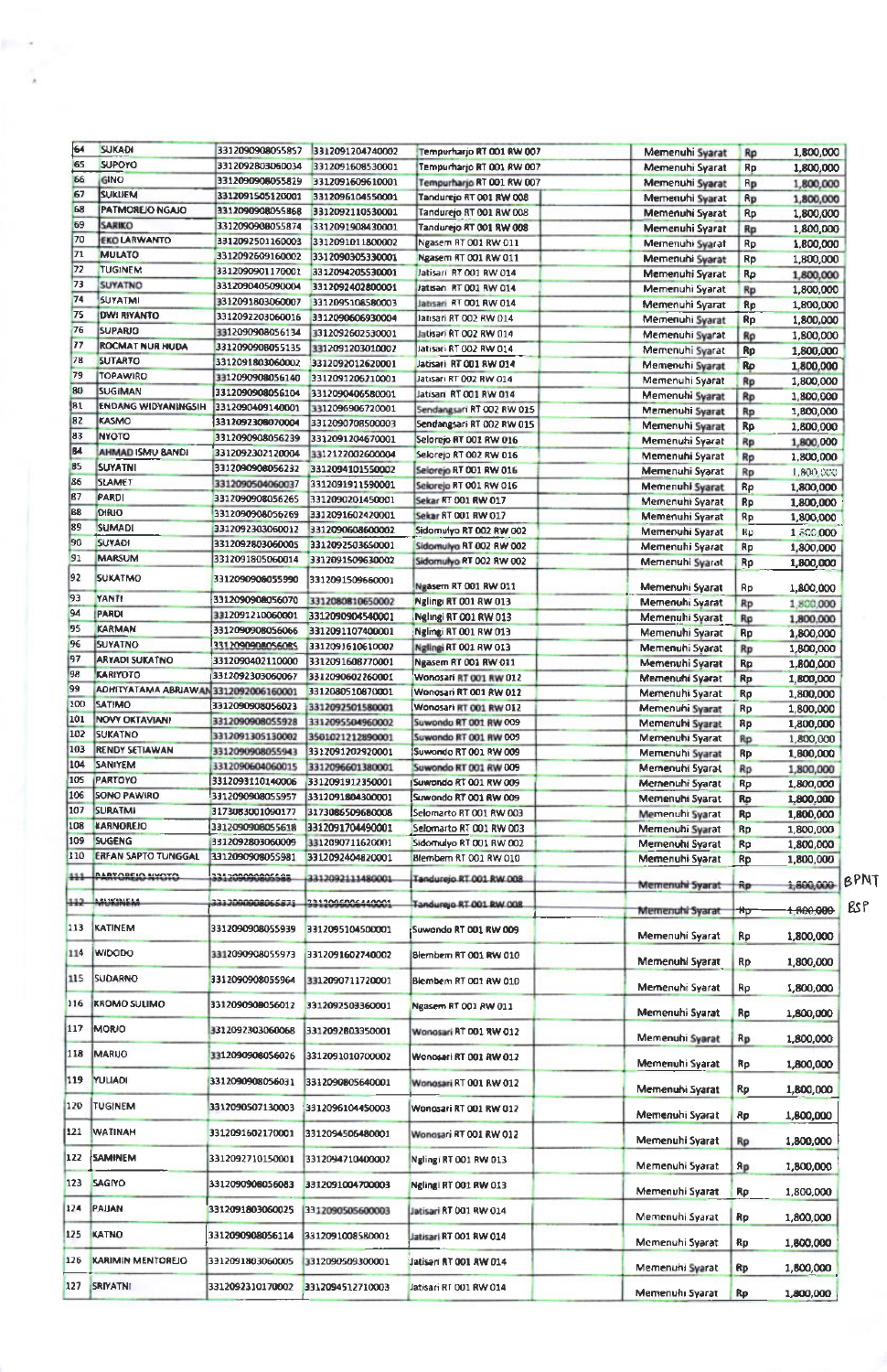| 64         | <b>SUKADI</b>                         | 3312090908055857 | 3312091204740002 | Tempurharjo RT 001 RW 007 | Memenuhi Syarat  | Rp        | 1,800,000 |      |
|------------|---------------------------------------|------------------|------------------|---------------------------|------------------|-----------|-----------|------|
| 65         | <b>SUPOYO</b>                         | 3312092803060034 | 3312091608530001 | Tempurhario RT 001 RW 007 | Memenuhi Syarat  | Rp        | 1,800,000 |      |
| 66         | GINO                                  | 3312090908055829 | 3312091609610001 | Tempurharjo RT 001 RW 007 | Memenuhi Syarat  | Rp        | 1,800,000 |      |
| 67         | <b>SUKUEM</b>                         | 3312091505120001 | 3312096104550001 | Tandurejo RT 001 RW 008   | Memenuhi Syarat  |           |           |      |
| 68         | <b>PATMOREIO NGAJO</b>                | 3312090908055868 |                  |                           |                  | Rp        | 1,800,000 |      |
| 69         | <b>SARIKO</b>                         |                  | 3312092110530001 | Tandurejo RT 001 RW 008   | Memenuhi Syarat  | <b>Rp</b> | 1,800,000 |      |
| 70         | <b>EKO LARWANTO</b>                   | 3312090908055874 | 3312091908430001 | Tandurejo RT 001 RW 008   | Memenuhi Syarat  | Rp        | 1,800,000 |      |
| 71         | <b>MULATO</b>                         | 3312092501160003 | 3312091011800002 | Ngasem RT 001 RW 011      | Memenuhi Syarat  | Rp        | 1,800,000 |      |
| 72         |                                       | 3312092609160002 | 3312090305330001 | Ngasem RT 001 RW 011      | Memenuhi Syarat  | <b>Rp</b> | 1,800,000 |      |
| 73         | <b>TUGINEM</b>                        | 3312090901170001 | 3312094205530001 | Jatisari RT 001 RW 014    | Memenuhi Syarat  | Rp        | 1,800,000 |      |
|            | <b>SUYATNO</b>                        | 3312090405090004 | 3312092402800001 | Jatisan RT 001 RW 014     | Memenuhi Syarat  | <b>Rp</b> | 1,800,000 |      |
| 74         | <b>SUYATMI</b>                        | 3312091803060007 | 3312095108580003 | Jatisari, RT 001 RW 014   | Memenuhi Syarat  | Rp        | 1,800,000 |      |
| 75         | <b>DWI RIVANTO</b>                    | 3312092203060016 | 3312090606930004 | Jatisari RT 002 RW 014    | Memenuhi Syarat  | Rp        | 1,800,000 |      |
| 76         | <b>SUPARJO</b>                        | 3312090908056134 | 1312092602530001 | Jatisan RT 002 RW 014     | Memenuhi Syarat  | Rp        | 1,800,000 |      |
| 77         | ROCMAT NUR HUDA                       | 3312090908055135 | 3312091203010002 | Jatisari RT 002 RW 014    | Memenuhi Syarat  | Rp        | 1,800,000 |      |
| 78         | <b>SUTARTO</b>                        | 3312091803060002 | 3312092012620001 | Jatisari: RT 001 RW 014   | Memenuhi Syarat  | Rp        | 1,800,000 |      |
| 79         | TOPAWIRD                              | 3312090908056140 | 3312091206210001 | Jatisari RT 002 RW 014    | Memenuhi Syarat  | Rp        | 1,800,000 |      |
| 80         | <b>SUGIMAN</b>                        | 3312090908056104 | 3312090406580001 | Jatisari RT 001 RW 014    | Memenuhi Syarat  | Rp        | 1,800,000 |      |
| 81         | <b>ENDANG WIDYANINGSIH</b>            | 3312090409140001 | 3312096906720001 | Sendangsari RT 002 RW 015 | Memenuhi Syarat  | Rp        | 1,800,000 |      |
| 82         | KASMO                                 | 3312092308070004 | 3312090708500003 | Sendangsari RT 002 RW 015 | Memenuhi Syarat  | Rp        | 1,800,000 |      |
| 83         | <b>NYOTO</b>                          | 3312090908056239 | 3312091204670001 | Selorejo RT 001 RW 016    | Memenuhi Syarat  | Rp        | 1,800,000 |      |
| 84         | AHMAD ISMU BANDI                      | 3312092302120004 | 3312122002600004 | Selorejo RT 002 RW 016    | Memenuhi Syarat  | Rp        | 1,800,000 |      |
| 85         | <b>SUYATNI</b>                        | 3312090908056232 | 3312094101550002 | Selorejo RT 001 RW 016    | Memenuhi Syarat  | Rp        | 1,800 GGG |      |
| 86         | <b>SLAMET</b>                         | 3312090504060037 | 3312091911590001 | Selorejo RT 001 RW 016    | Memenuhi Syarat  | Rp        | 1,800,000 |      |
| 87         | PARDI                                 | 3312090908056265 | 3312090201450001 | Sekar RT 001 RW 017       | Memenuhi Syarat  | <b>Rp</b> | 1,800,000 |      |
| <b>B8</b>  | DIRIO                                 | 3312090908056269 | 3312091602420001 | Sekar RT 001 RW 017       | Memenuhi Syarat  | <b>Rp</b> | 1,800,000 |      |
| 89         | <b>SUMADI</b>                         | 3312092303060012 | 3312090608600002 | Sidomulyo RT 002 RW 002   | Memenuhi Syarat  | К¢        | 1500.000  |      |
| 90         | <b>SUYADI</b>                         | 3312092803060005 | 3312092503650001 | Sidomulya RT 002 RW 002   | Memenuhi Syarat  | Rp        | 1,800,000 |      |
| 91         | <b>MARSUM</b>                         | 3312091805060014 | 3312091509630002 | Sidomulyo RT 002 RW 002   |                  |           |           |      |
|            |                                       |                  |                  |                           | Memenuhi Syarat  | Rp        | 1,800,000 |      |
| 92         | <b>SUKATMO</b>                        | 3312090908055990 | 3312091509660001 | Ngasern RT 001 RW 011     | Memenuhi Syarat  | Rp        | 1,800,000 |      |
| 93         | YANT!                                 | 3312090908056070 | 3312080810650002 | Ngling: RT 001 RW 013     | Memenuhi Syarat  | Rp        | 1,800,000 |      |
| 94         | <b>PARDI</b>                          | 3312091210060001 | 3312090904540001 | Nglingi RT 001 RW 013     | Memenuhi Syarat  | Rp        | 1,800,000 |      |
| 95         | <b>KARMAN</b>                         | 3312090908056066 | 3312091107400001 | Ngimgi RT 001 RW 013      | Memenuhi Syarat  | Rp        | 1,800,000 |      |
| 96         | <b>SUYATNO</b>                        | 3312090908056085 | 3312091610610002 | Nglingi RT 001 RW 013     | Memenuhi Syarat  | Rp        | 1,800,000 |      |
| 97         | <b>ARYADI SUKATNO</b>                 | 3312090402110000 | 3312091608770001 | Ngasem RT 001 RW 011      | Memenuhi Syarat  | Rp        | 1,800,000 |      |
| 98         | <b>KARIYOTO</b>                       | 3312092303060067 | 3312090602260001 | Wonosari RT 001 RW 012    | Memenuhi Syarat  | <b>Rp</b> |           |      |
| 99         | ADHITYATAMA ABRIAWAN 3312092006160001 |                  | 3312080510670001 | Wonosari RT 001 RW 012    |                  |           | 1,800,000 |      |
| 100        | <b>SATIMO</b>                         | 3312090908056023 | 3312092501580001 | Wonosari RT 001 RW 012    | Memenuhi Syarat  | Rp        | 1,800,000 |      |
| 101        | <b>NOVY OKTAVIANI</b>                 | 3312090908055928 | 3312095504960002 | Suwondo RT 001 RW 009     | Memenuhi Syarat  | Rp        | 1,800,000 |      |
| 102        | <b>SUKATNO</b>                        | 3312091305130002 |                  | Suwondo RT 001 RW 009     | Memenuhi Syarat  | Rp        | 1,800,000 |      |
| 103        | <b>RENDY SETIAWAN</b>                 | 3312090908055943 | 3501021212890001 |                           | Memenuhi Syarat  | Rp        | 1,800,000 |      |
| 104        | <b>SANIYEM</b>                        | 3312090604060015 | 3312091202920001 | Suwando RT 001 RW 009     | Memenuhi Syarat  | Rp        | 1,800,000 |      |
| 105        | <b>PARTOYO</b>                        |                  | 3312096601380001 | Suwondo RT 001 RW 009     | Memenuhi Syarat  | Rp        | 1,800,000 |      |
| 106        | <b>SONO PAWIRO</b>                    | 3312093110140006 | 3312091912350001 | Suwondo RT 001 RW 009     | Mernenuhi Syarat | Rp        | 1,800,000 |      |
|            | <b>SURATMI</b>                        | 3312090908055957 | 3312091804300001 | Suwondo RT 001 RW 009     | Memenuhi Syarat  | Rp        | 1,800,000 |      |
| 107<br>108 | <b>KARNOREIO</b>                      | 3173083001090177 | 3173086509680008 | Selomarto RT 001 RW 003   | Memenuhi Syarat  | Rp        | 1,800,000 |      |
|            |                                       | 3312090908055618 | 3312091704490001 | Selomarto RT 001 RW 003   | Memenuhi Syarat  | Rp        | 1,800,000 |      |
| 109        | <b>SUGENG</b>                         | 3312092803060009 | 3312090711620001 | Sidomulyo RT 001 RW 002   | Memenuhi Syarat  | Rp        | 1,800,000 |      |
| 110        | <b>ERFAN SAPTO TUNGGAL</b>            | 3312090908055981 | 3312092404820001 | Blembern RT 001 RW 010    | Memenuhi Syarat  | <b>Rp</b> | 1,800,000 |      |
|            | <b>111 PARTOREJO NYOTO</b>            | 331209090806588  | 3312092111480001 | Tandurejo RT 001 RW 008   | Memenuhi Syarat  | fip       | 1,600,000 | BPNT |
|            | 112 MUMNEM                            | 3312090908065871 | 3312096006440001 | Tandurejo RT 001 RW 008   | Memenuhi Syarat  | *ф        | 1,800,000 | BSP  |
| 113        | <b>KATINEM</b>                        | 3312090908055939 | 3312095104500001 | Suwando RT 001 RW 009     |                  |           |           |      |
| 114        | <b>WIDODO</b>                         |                  | 3312091602740002 |                           | Memenuhi Syarat  | Rp        | 1,800,000 |      |
|            |                                       | 3312090908055973 |                  | Siembern RT 001 RW 010    | Memenuhi Syarat  | Rp        | 1,800,000 |      |
| 115        | <b>SUDARNO</b>                        | 3312090908055964 | 3312090711720001 | Biembem RT 001 RW 010     | Memenuhi Syarat  | Rp        | 1,800,000 |      |
| 116        | KROMO SULIMO                          | 3312090908056012 | 3312092503360001 | Ngasem RT 001 RW 011      | Memenuhi Syarat  | Rp        | 1,800,000 |      |
| 117        | MORIO                                 | 3312092303060068 | 3312092803350001 | Wonosari RT DO1 RW 012    | Memenuhi Syarat  | Rp        | 1,800,000 |      |
| 118        | MARIJO                                | 3312090908056026 | 3312091010700002 | Wonosari RT 001 RW 012    | Memenuhi Syarat  |           |           |      |
| 119        | <b>YULIADI</b>                        | 3312090908056031 | 3312090805640001 | Wonosari RT 001 RW 012    |                  | Rp        | 1,800,000 |      |
| 120        | TUGINEM                               | 3312090507130003 | 3312096104450003 | Wonosari RT 001 RW 012    | Memenuhi Syarat  | Rp        | 1,800,000 |      |
|            |                                       |                  |                  |                           | Memenuhi Syarat  | Rp        | 1,800,000 |      |
| 121        | <b>WATINAH</b>                        | 3312091602170001 | 3312094506480001 | Wonosari RT 001 RW 012    | Memenuhi Syarat  | Rp        | 1,800,000 |      |
| 122        | SAMINEM                               | 3312092710150001 | 3312094710400002 | Nglingi RT 001 RW 013     | Memenuhi Syarat  | Яp        | 1,800,000 |      |
| 123        | <b>SAGIYO</b>                         | 3312090908056083 | 3312091004700003 | Nglingi RT 001 RW 013     | Memenuhi Syarat  | Rp        | 1,800,000 |      |
| 124        | PAUAN                                 | 3312091803060025 | 3312090505600003 | Jatisari RT 001 RW 014    | Memenuhi Syarat  | Rp        | 1,800,000 |      |
| 125        | KATNO                                 | 3312090908056114 | 3312091008580001 | Uatisari RT 001 RW 014    | Memenuhi Syarat  | Rp        | 1,800,000 |      |
| 126        | KARIMIN MENTOREIO                     | 3312091803060005 | 3312090509300001 | Jatisari RT 001 RW 014    | Memenuni Syarat  | Rр        | 1,800,000 |      |
| 127        | SRIYATNI                              | 3312092310170002 | 3312094512710003 | Jatisari RT 001 RW 014    | Memenuhi Syarat  | Rp        | 1,800,000 |      |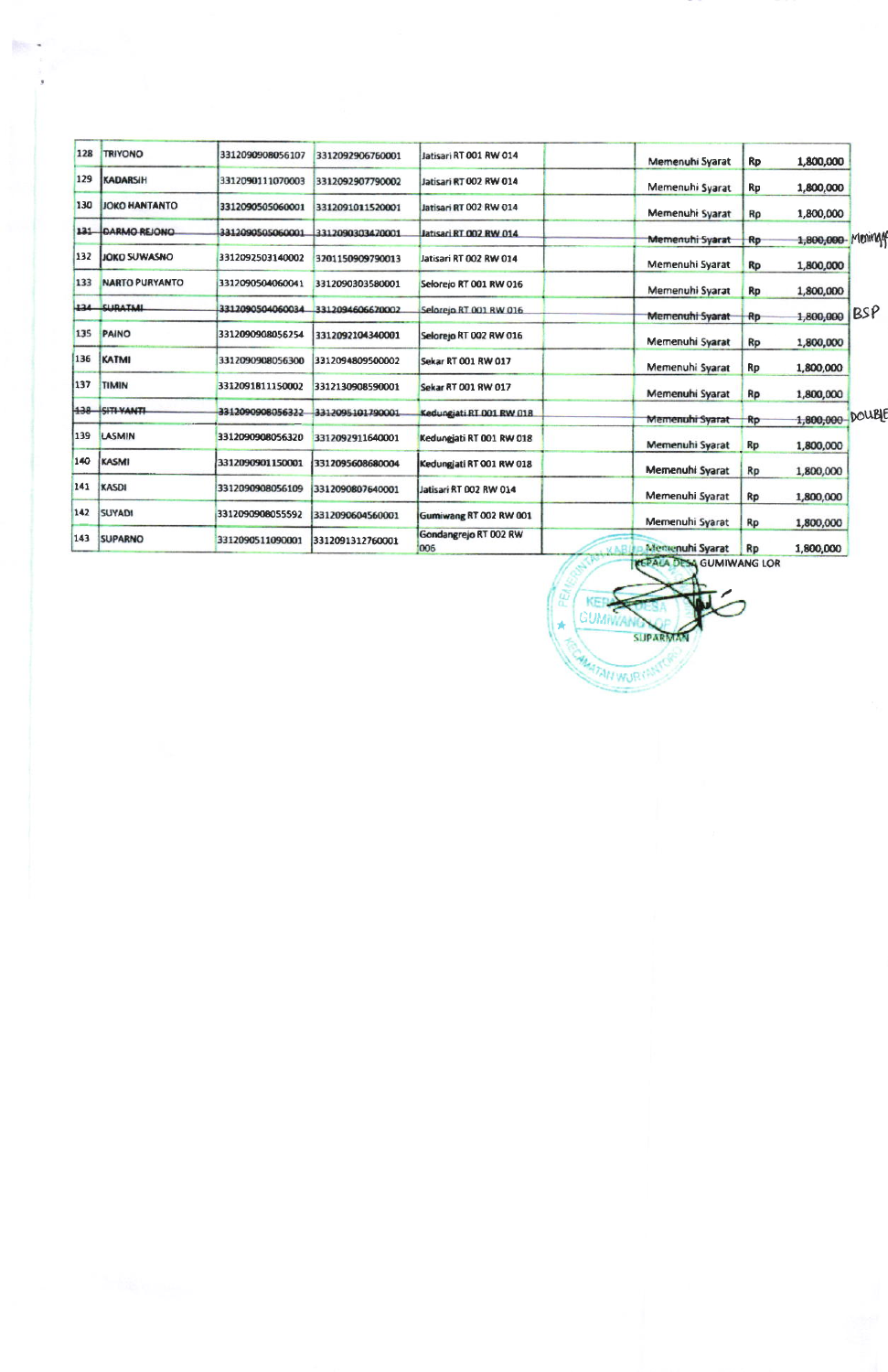| 128 | <b>TRIYONO</b>        | 3312090908056107 | 3312092906760001                  | Jatisari RT 001 RW 014       | Memenuhi Syarat        | 1,800,000<br><b>Rp</b>      |               |
|-----|-----------------------|------------------|-----------------------------------|------------------------------|------------------------|-----------------------------|---------------|
| 129 | <b>KADARSIH</b>       | 3312090111070003 | 3312092907790002                  | Jatisari RT 002 RW 014       | Memenuhi Syarat        | Rp<br>1,800,000             |               |
| 130 | <b>JOKO HANTANTO</b>  | 3312090505060001 | 3312091011520001                  | Jatisari RT 002 RW 014       | Memenuhi Syarat        | Rp<br>1,800,000             |               |
|     | 131 DARMO REJONO      | 3312090505060001 | 3312090303470001                  | Jatisari RT 002 RW 014       | Memenuhi Syarat        | 1,800,000-<br>Rp            | Meningge      |
| 132 | <b>JOKO SUWASNO</b>   | 3312092503140002 | 3201150909790013                  | Jatisari RT 002 RW 014       | Memenuhi Syarat        | <b>Rp</b><br>1,800,000      |               |
| 133 | <b>NARTO PURYANTO</b> | 3312090504060041 | 3312090303580001                  | Selorejo RT 001 RW 016       | Memenuhi Syarat        | <b>Rp</b><br>1,800,000      |               |
|     | 134 SURATML           |                  | 3312090504060034 3312094606670002 | Selorejo RT 001 RW 016       | Memenuhi Syarat        | 1,800,000<br>R <sub>p</sub> | BSP           |
| 135 | PAINO                 | 3312090908056254 | 3312092104340001                  | Selorejo RT 002 RW 016       | Memenuhi Syarat        | Rp<br>1,800,000             |               |
| 136 | KATMI                 | 3312090908056300 | 3312094809500002                  | Sekar RT 001 RW 017          | Memenuhi Syarat        | <b>Rp</b><br>1,800,000      |               |
| 137 | TIMIN                 | 3312091811150002 | 3312130908590001                  | Sekar RT 001 RW 017          | Memenuhi Syarat        | Rp<br>1,800,000             |               |
|     | 138 SITI YANTI        |                  | 3312090908056322 3312095101790001 | Kedungjati RT 001 RW 018     | Memenuhi Syarat        | 1,800,000<br>Rp             | <b>DOUBIE</b> |
| 139 | LASMIN                | 3312090908056320 | 3312092911640001                  | Kedungjati RT 001 RW 018     | Memenuhi Syarat        | <b>Rp</b><br>1,800,000      |               |
| 140 | KASMI                 | 3312090901150001 | 3312095608680004                  | Kedungjati RT 001 RW 018     | Memenuhi Syarat        | <b>Rp</b><br>1,800,000      |               |
| 141 | <b>KASDI</b>          | 3312090908056109 | 3312090807640001                  | Jatisari RT 002 RW 014       | Memenuhi Syarat        | Rp<br>1,800,000             |               |
| 142 | <b>SUYADI</b>         | 3312090908055592 | 3312090604560001                  | Gumiwang RT 002 RW 001       | Memenuhi Syarat        | Rp<br>1,800,000             |               |
| 143 | <b>SUPARNO</b>        | 3312090511090001 | 3312091312760001                  | Gondangrejo RT 002 RW<br>006 | <b>Memenuhi Syarat</b> | <b>Rp</b><br>1,800,000      |               |

臉

KEPALA DESA GUMIWANG LOR